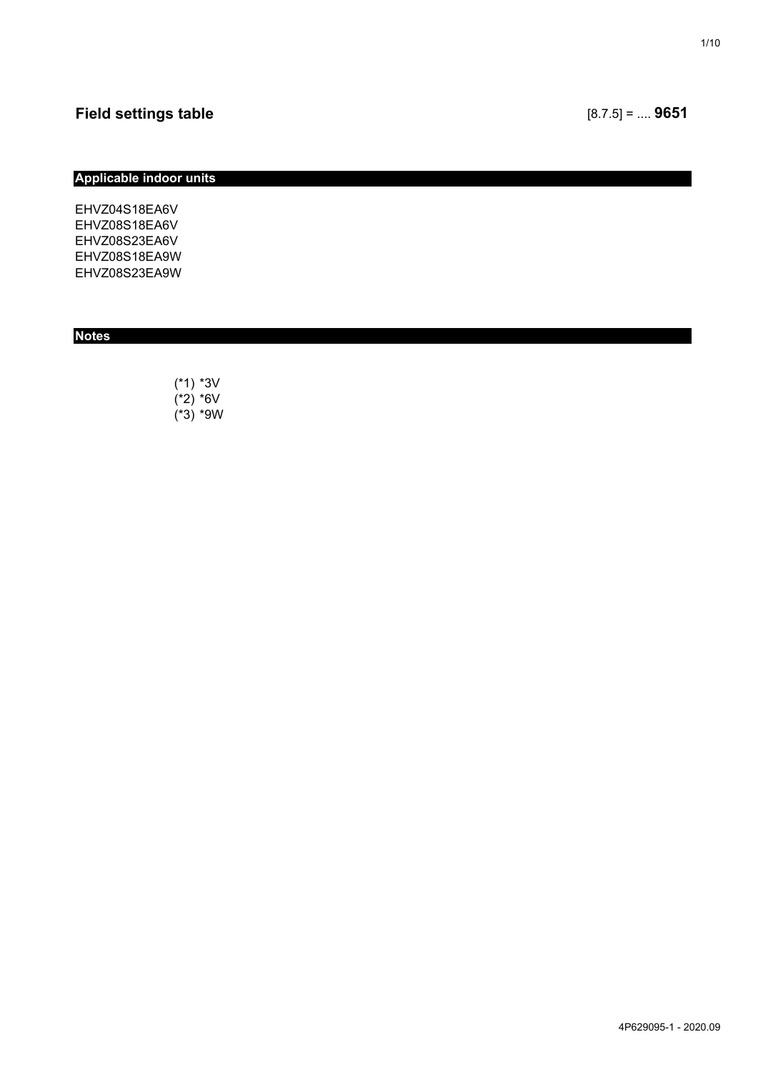## **Applicable indoor units**

EHVZ04S18EA6V EHVZ08S18EA6V EHVZ08S23EA6V EHVZ08S18EA9W EHVZ08S23EA9W

## **Notes**

(\*1) \*3V  $(*2) *6V$  $(*3) * 9W$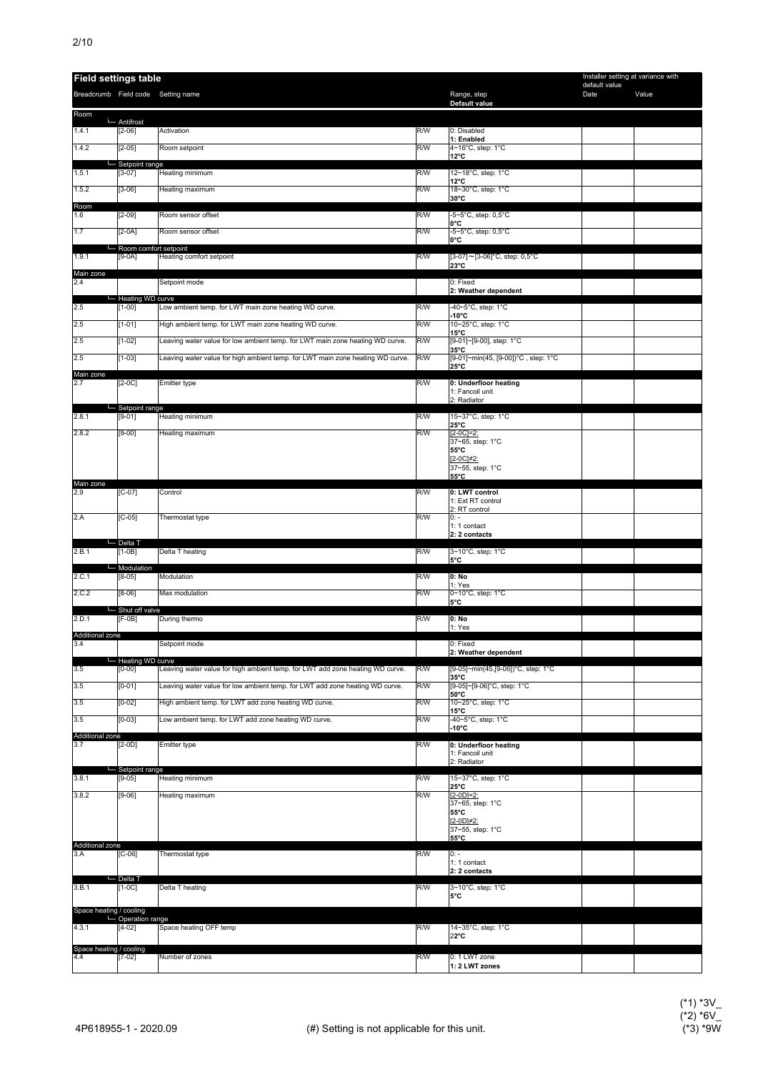| <b>Field settings table</b>        |                                |                                                                                |     |                                                       | Installer setting at variance with<br>default value |       |
|------------------------------------|--------------------------------|--------------------------------------------------------------------------------|-----|-------------------------------------------------------|-----------------------------------------------------|-------|
| Breadcrumb Field code Setting name |                                |                                                                                |     | Range, step<br>Default value                          | Date                                                | Value |
| Room                               | Antifrost                      |                                                                                |     |                                                       |                                                     |       |
| 1.4.1                              | $[2-06]$                       | Activation                                                                     | R/W | 0: Disabled<br>1: Enabled                             |                                                     |       |
| 1.4.2                              | $[2-05]$                       | Room setpoint                                                                  | R/W | 4~16°C, step: 1°C<br>$12^{\circ}$ C                   |                                                     |       |
| 1.5.1                              | Setpoint range<br>$[3-07]$     | Heating minimum                                                                | R/W | 12~18°C, step: 1°C                                    |                                                     |       |
| 1.5.2                              | $[3-06]$                       | Heating maximum                                                                | R/W | $12^{\circ}$ C<br>18~30°C, step: 1°C<br>30°C          |                                                     |       |
| Room<br>1.6                        | $[2-09]$                       | Room sensor offset                                                             | R/W | -5~5°C, step: 0,5°C                                   |                                                     |       |
| 1.7                                | $[2-0A]$                       | Room sensor offset                                                             | R/W | 0°C<br>-5~5°C, step: 0,5°C                            |                                                     |       |
|                                    | Room comfort setpoint          |                                                                                |     | 0°C                                                   |                                                     |       |
| 1.9.1                              | $[9-0A]$                       | Heating comfort setpoint                                                       | R/W | [3-07]~[3-06]°C, step: 0,5°C<br>23°C                  |                                                     |       |
| Main zone<br>2.4                   |                                | Setpoint mode                                                                  |     | 0: Fixed<br>2: Weather dependent                      |                                                     |       |
| 2.5                                | - Heating WD curve<br>$[1-00]$ | Low ambient temp. for LWT main zone heating WD curve.                          | R/W | -40~5°C, step: 1°C                                    |                                                     |       |
| 2.5                                | $[1-01]$                       | High ambient temp. for LWT main zone heating WD curve.                         | R/W | $-10^{\circ}$ C<br>10~25°C, step: 1°C                 |                                                     |       |
| 2.5                                | $[1-02]$                       | Leaving water value for low ambient temp. for LWT main zone heating WD curve.  | R/W | $15^{\circ}$ C<br>[9-01]~[9-00], step: 1°C            |                                                     |       |
| 2.5                                | $[1-03]$                       | Leaving water value for high ambient temp. for LWT main zone heating WD curve. | R/W | $35^{\circ}$ C<br>[9-01]~min(45, [9-00])°C, step: 1°C |                                                     |       |
| Main zone<br>2.7                   | $[2-0C]$                       | Emitter type                                                                   | R/W | 25°C<br>0: Underfloor heating                         |                                                     |       |
|                                    |                                |                                                                                |     | 1: Fancoil unit<br>2: Radiator                        |                                                     |       |
| 2.8.1                              | Setpoint range<br>$[9-01]$     | Heating minimum                                                                | R/W | 15~37°C, step: 1°C                                    |                                                     |       |
| 2.8.2                              | $[9-00]$                       | Heating maximum                                                                | R/W | $25^{\circ}$ C<br>$[2-0C]=2$ :                        |                                                     |       |
|                                    |                                |                                                                                |     | 37~65, step: 1°C<br>55°C                              |                                                     |       |
|                                    |                                |                                                                                |     | $[2-0C]\neq 2$ :<br>37~55, step: 1°C                  |                                                     |       |
| Main zone<br>2.9                   | $[C-07]$                       | Control                                                                        | R/W | 55°C<br>0: LWT control                                |                                                     |       |
|                                    |                                |                                                                                |     | 1: Ext RT control<br>2: RT control                    |                                                     |       |
| 2.A                                | $[C-05]$                       | Thermostat type                                                                | R/W | $0: -$<br>1: 1 contact                                |                                                     |       |
|                                    | └─ Delta T                     |                                                                                |     | 2: 2 contacts                                         |                                                     |       |
| 2.B.1                              | $[1-0B]$                       | Delta T heating                                                                | R/W | 3~10°C, step: 1°C<br>5°C                              |                                                     |       |
| 2.C.1                              | Modulation<br>$[8-05]$         | Modulation                                                                     | R/W | 0: No<br>1: Yes                                       |                                                     |       |
| 2.C.2                              | $[8-06]$                       | Max modulation                                                                 | R/W | 0~10°C, step: 1°C<br>5°C                              |                                                     |       |
| 2.D.1                              | Shut off valve<br>$[F-OB]$     | During thermo                                                                  | R/W | 0: No                                                 |                                                     |       |
| Additional zone                    |                                |                                                                                |     | 1: Yes                                                |                                                     |       |
| 3.4                                |                                | Setpoint mode                                                                  |     | 0: Fixed<br>2: Weather dependent                      |                                                     |       |
| 3.5                                | - Heating WD curve<br>$[0-00]$ | Leaving water value for high ambient temp. for LWT add zone heating WD curve.  | R/W | [9-05]~min(45,[9-06])°C, step: 1°C<br>35°C            |                                                     |       |
| 3.5                                | $[0-01]$                       | Leaving water value for low ambient temp. for LWT add zone heating WD curve.   | R/W | [9-05]~[9-06]°C, step: 1°C<br>50°C                    |                                                     |       |
| 3.5                                | $[0-02]$                       | High ambient temp. for LWT add zone heating WD curve.                          | R/W | 10~25°C, step: 1°C<br>$15^{\circ}$ C                  |                                                     |       |
| 3.5                                | $[0-03]$                       | Low ambient temp. for LWT add zone heating WD curve.                           | R/W | -40~5°C, step: 1°C<br>$-10^{\circ}$ C                 |                                                     |       |
| Additional zone<br>3.7             | $[2-0D]$                       | Emitter type                                                                   | R/W | 0: Underfloor heating                                 |                                                     |       |
|                                    | Setpoint range                 |                                                                                |     | 1: Fancoil unit<br>2: Radiator                        |                                                     |       |
| 3.8.1                              | $[9-05]$                       | Heating minimum                                                                | R/W | 15~37°C, step: 1°C<br>25°C                            |                                                     |       |
| 3.8.2                              | $[9-06]$                       | Heating maximum                                                                | R/W | $[2-0D]=2$ :<br>37~65, step: 1°C                      |                                                     |       |
|                                    |                                |                                                                                |     | 55°C<br>[2-0D]#2:                                     |                                                     |       |
|                                    |                                |                                                                                |     | 37~55, step: 1°C<br>55°C                              |                                                     |       |
| Additional zone<br>3.A             | $[C-06]$                       | Thermostat type                                                                | R/W | $0: -$                                                |                                                     |       |
|                                    | └─ Delta T                     |                                                                                |     | 1: 1 contact<br>2: 2 contacts                         |                                                     |       |
| 3.B.1                              | $[1-0C]$                       | Delta T heating                                                                | R/W | 3~10°C, step: 1°C<br>5°C                              |                                                     |       |
| Space heating / cooling            |                                |                                                                                |     |                                                       |                                                     |       |
| 4.3.1                              | - Operation range<br>$[4-02]$  | Space heating OFF temp                                                         | R/W | 14~35°C, step: 1°C                                    |                                                     |       |
| Space heating / cooling            |                                |                                                                                |     | $22^{\circ}$ C                                        |                                                     |       |
| 4.4                                | $[7-02]$                       | Number of zones                                                                | R/W | 0: 1 LWT zone<br>1: 2 LWT zones                       |                                                     |       |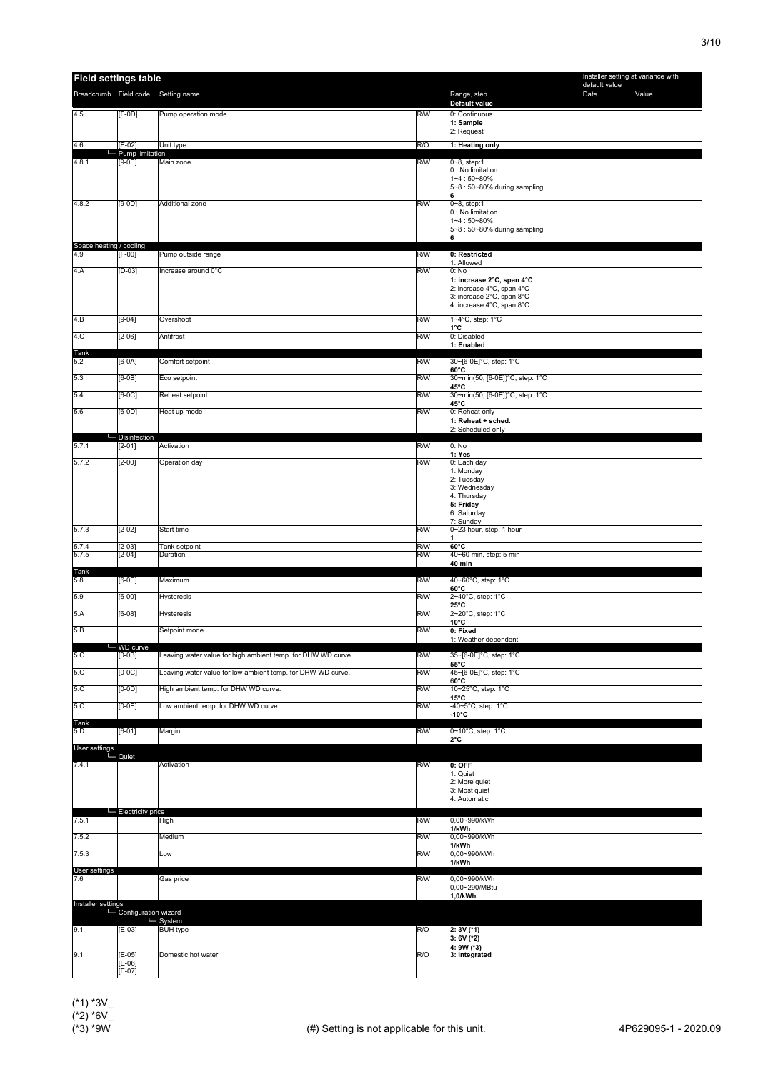| <b>Field settings table</b>                  |                             |                                                              |            |                                                                                            | Installer setting at variance with |       |
|----------------------------------------------|-----------------------------|--------------------------------------------------------------|------------|--------------------------------------------------------------------------------------------|------------------------------------|-------|
|                                              |                             | Breadcrumb Field code Setting name                           |            | Range, step<br>Default value                                                               | default value<br>Date              | Value |
| 4.5                                          | $[F-0D]$                    | Pump operation mode                                          | R/W        | 0: Continuous<br>1: Sample<br>2: Request                                                   |                                    |       |
| 4.6                                          | $E-02$                      | Unit type                                                    | R/O        | 1: Heating only                                                                            |                                    |       |
| 4.8.1                                        | Pump limitation<br>$[9-0E]$ | Main zone                                                    | R/W        | 0~8, step:1                                                                                |                                    |       |
|                                              |                             |                                                              |            | 0 : No limitation<br>$1 - 4:50 - 80%$<br>5~8: 50~80% during sampling<br>6                  |                                    |       |
| 4.8.2                                        | $[9-0D]$                    | Additional zone                                              | R/W        | $0 - 8$ , step:1<br>0 : No limitation<br>$1 - 4 : 50 - 80%$<br>5~8: 50~80% during sampling |                                    |       |
| Space heating / cooling                      |                             |                                                              |            | 6                                                                                          |                                    |       |
| 4.9                                          | $[F-00]$                    | Pump outside range                                           | R/W        | 0: Restricted                                                                              |                                    |       |
| 4.A                                          | $[D-03]$                    | Increase around 0°C                                          | R/W        | 1: Allowed<br>0: No<br>1: increase 2°C, span 4°C<br>2: increase 4°C, span 4°C              |                                    |       |
|                                              |                             |                                                              |            | 3: increase 2°C, span 8°C<br>4: increase 4°C, span 8°C                                     |                                    |       |
| 4.B                                          | $[9-04]$                    | Overshoot                                                    | R/W        | 1~4°C, step: 1°C<br>1°C                                                                    |                                    |       |
| 4.C                                          | $[2 - 06]$                  | Antifrost                                                    | R/W        | 0: Disabled                                                                                |                                    |       |
| Tank                                         |                             |                                                              |            | 1: Enabled                                                                                 |                                    |       |
| 5.2                                          | $[6-0A]$                    | Comfort setpoint                                             | R/W        | 30~[6-0E]°C, step: 1°C                                                                     |                                    |       |
| 5.3                                          | $[6-0B]$                    | Eco setpoint                                                 | R/W        | $60^{\circ}$ C<br>30~min(50, [6-0E])°C, step: 1°C                                          |                                    |       |
| 5.4                                          | $[6-0C]$                    | Reheat setpoint                                              | R/W        | 45°C<br>30~min(50, [6-0E])°C, step: 1°C                                                    |                                    |       |
|                                              |                             |                                                              |            | 45°C                                                                                       |                                    |       |
| 5.6                                          | $[6-0D]$                    | Heat up mode                                                 | R/W        | 0: Reheat only<br>1: Reheat + sched.                                                       |                                    |       |
|                                              |                             |                                                              |            | 2: Scheduled only                                                                          |                                    |       |
| 5.7.1                                        | Disinfection<br>$[2 - 01]$  | Activation                                                   | R/W        | 0: No                                                                                      |                                    |       |
| 5.7.2                                        | $[2 - 00]$                  | Operation day                                                | R/W        | 1: Yes<br>0: Each day                                                                      |                                    |       |
|                                              |                             |                                                              |            | 1: Monday                                                                                  |                                    |       |
|                                              |                             |                                                              |            | 2: Tuesday<br>3: Wednesday                                                                 |                                    |       |
|                                              |                             |                                                              |            | 4: Thursday<br>5: Friday                                                                   |                                    |       |
|                                              |                             |                                                              |            | 6: Saturday                                                                                |                                    |       |
| 5.7.3                                        | $[2-02]$                    | Start time                                                   | R/W        | 7: Sunday<br>0~23 hour, step: 1 hour                                                       |                                    |       |
|                                              |                             |                                                              |            |                                                                                            |                                    |       |
| 5.7.4<br>5.7.5                               | $[2 - 03]$<br>$[2 - 04]$    | Tank setpoint<br>Duration                                    | R/W<br>R/W | 60°C<br>40~60 min, step: 5 min                                                             |                                    |       |
| Tank                                         |                             |                                                              |            | 40 min                                                                                     |                                    |       |
| 5.8                                          | $[6-0E]$                    | Maximum                                                      | R/W        | 40~60°C, step: 1°C                                                                         |                                    |       |
| 5.9                                          | $[6-00]$                    | <b>Hysteresis</b>                                            | R/W        | $60^{\circ}$ C<br>2~40°C, step: 1°C                                                        |                                    |       |
| 5.A                                          | $[6-08]$                    | <b>Hysteresis</b>                                            | R/W        | $25^{\circ}$ C<br>2~20°C, step: 1°C                                                        |                                    |       |
|                                              |                             |                                                              |            | $10^{\circ}$ C                                                                             |                                    |       |
| 5.B                                          |                             | Setpoint mode                                                | R/W        | 0: Fixed<br>1: Weather dependent                                                           |                                    |       |
| 5.C                                          | $-wD curve$<br>$[0-0B]$     | Leaving water value for high ambient temp. for DHW WD curve. | R/W        | 35~[6-0E]°C, step: 1°C                                                                     |                                    |       |
|                                              |                             |                                                              |            | $55^{\circ}$ C                                                                             |                                    |       |
| 5.C                                          | $[0-0C]$                    | Leaving water value for low ambient temp. for DHW WD curve.  | R/W        | 45~[6-0E]°C, step: 1°C<br>$60^{\circ}$ C                                                   |                                    |       |
| 5.C                                          | $[0-0D]$                    | High ambient temp. for DHW WD curve.                         | R/W        | 10~25°C, step: 1°C<br>$15^{\circ}$ C                                                       |                                    |       |
| 5.C                                          | $[0-0E]$                    | Low ambient temp. for DHW WD curve.                          | R/W        | -40~5°C, step: 1°C                                                                         |                                    |       |
| Tank<br>5.D                                  |                             |                                                              |            | $-10^{\circ}$ C                                                                            |                                    |       |
|                                              | $[6-01]$                    | Margin                                                       | R/W        | 0~10°C, step: 1°C<br>$2^{\circ}$ C                                                         |                                    |       |
| User settings                                |                             |                                                              |            |                                                                                            |                                    |       |
| 7.4.1                                        | L Quiet                     | Activation                                                   | R/W        | $0:$ OFF                                                                                   |                                    |       |
|                                              |                             |                                                              |            | 1: Quiet<br>2: More quiet                                                                  |                                    |       |
|                                              |                             |                                                              |            | 3: Most quiet                                                                              |                                    |       |
|                                              |                             |                                                              |            | 4: Automatic                                                                               |                                    |       |
| 7.5.1                                        | Electricity price           | High                                                         | R/W        | 0,00~990/kWh                                                                               |                                    |       |
| 7.5.2                                        |                             | Medium                                                       | R/W        | 1/kWh<br>0,00~990/kWh                                                                      |                                    |       |
|                                              |                             |                                                              |            | 1/kWh                                                                                      |                                    |       |
| 7.5.3                                        |                             | Low                                                          | R/W        | 0,00~990/kWh<br>1/kWh                                                                      |                                    |       |
| User settings<br>7.6                         |                             | Gas price                                                    | R/W        | 0,00~990/kWh                                                                               |                                    |       |
|                                              |                             |                                                              |            | 0,00~290/MBtu                                                                              |                                    |       |
|                                              |                             |                                                              |            | 1,0/kWh                                                                                    |                                    |       |
| Installer settings<br>— Configuration wizard |                             | ∟ System                                                     |            |                                                                                            |                                    |       |
| 9.1                                          | $[E-03]$                    | <b>BUH</b> type                                              | R/O        | 2: 3V (*1)                                                                                 |                                    |       |
|                                              |                             |                                                              |            | $3: 6V (*2)$<br>4: 9W (*3)                                                                 |                                    |       |
| 9.1                                          | $[E-05]$<br>$[E-06]$        | Domestic hot water                                           | R/O        | 3: Integrated                                                                              |                                    |       |
|                                              | $[E-07]$                    |                                                              |            |                                                                                            |                                    |       |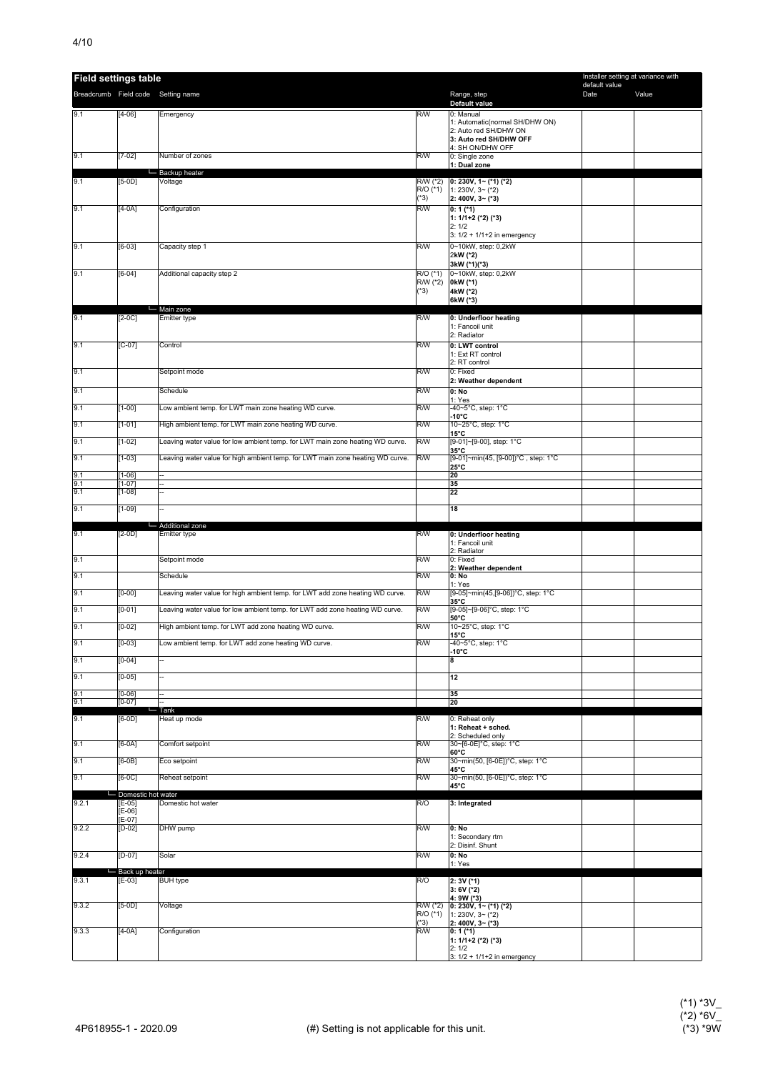| <b>Field settings table</b> |                        |                                                                                |                      |                                                    | Installer setting at variance with<br>default value |       |
|-----------------------------|------------------------|--------------------------------------------------------------------------------|----------------------|----------------------------------------------------|-----------------------------------------------------|-------|
|                             |                        | Breadcrumb Field code Setting name                                             |                      | Range, step                                        | Date                                                | Value |
| 9.1                         | $[4-06]$               |                                                                                | R/W                  | Default value<br>0: Manual                         |                                                     |       |
|                             |                        | Emergency                                                                      |                      | 1: Automatic(normal SH/DHW ON)                     |                                                     |       |
|                             |                        |                                                                                |                      | 2: Auto red SH/DHW ON<br>3: Auto red SH/DHW OFF    |                                                     |       |
|                             |                        |                                                                                |                      | 4: SH ON/DHW OFF                                   |                                                     |       |
| 9.1                         | $[7-02]$               | Number of zones                                                                | R/W                  | 0: Single zone<br>1: Dual zone                     |                                                     |       |
| 9.1                         |                        | - Backup heater                                                                |                      |                                                    |                                                     |       |
|                             | $[5-0D]$               | Voltage                                                                        | R/W (*2)<br>R/O (*1) | $0: 230V, 1~(*1)$ (*2)<br>1: 230V, 3~ (*2)         |                                                     |       |
|                             |                        |                                                                                | $(*3)$               | 2: 400V, 3~ (*3)                                   |                                                     |       |
| 9.1                         | $[4-0A]$               | Configuration                                                                  | R/W                  | $0:1$ (*1)<br>1: 1/1+2 (*2) (*3)                   |                                                     |       |
|                             |                        |                                                                                |                      | 2:1/2                                              |                                                     |       |
| 9.1                         | $[6-03]$               | Capacity step 1                                                                | R/W                  | 3: 1/2 + 1/1+2 in emergency<br>0~10kW, step: 0,2kW |                                                     |       |
|                             |                        |                                                                                |                      | 2kW (*2)                                           |                                                     |       |
| 9.1                         | $[6-04]$               | Additional capacity step 2                                                     | $R/O$ (*1)           | 3kW (*1)(*3)<br>0~10kW, step: 0,2kW                |                                                     |       |
|                             |                        |                                                                                | R/W (*2)             | 0kW (*1)                                           |                                                     |       |
|                             |                        |                                                                                | $(*3)$               | 4kW (*2)<br>6kW (*3)                               |                                                     |       |
|                             |                        | └ Main zone                                                                    |                      |                                                    |                                                     |       |
| 9.1                         | $[2-0C]$               | Emitter type                                                                   | R/W                  | 0: Underfloor heating<br>1: Fancoil unit           |                                                     |       |
|                             |                        |                                                                                |                      | 2: Radiator                                        |                                                     |       |
| 9.1                         | $[C-07]$               | Control                                                                        | R/W                  | 0: LWT control<br>1: Ext RT control                |                                                     |       |
|                             |                        |                                                                                |                      | 2: RT control                                      |                                                     |       |
| 9.1                         |                        | Setpoint mode                                                                  | R/W                  | 0: Fixed<br>2: Weather dependent                   |                                                     |       |
| 9.1                         |                        | Schedule                                                                       | R/W                  | 0: No                                              |                                                     |       |
| 9.1                         | $[1-00]$               | Low ambient temp. for LWT main zone heating WD curve.                          | R/W                  | 1: Yes<br>-40~5°C, step: 1°C                       |                                                     |       |
| 9.1                         | $[1-01]$               | High ambient temp. for LWT main zone heating WD curve.                         | R/W                  | $-10^{\circ}$ C<br>10~25°C, step: 1°C              |                                                     |       |
|                             |                        |                                                                                |                      | 15°C                                               |                                                     |       |
| 9.1                         | $[1-02]$               | Leaving water value for low ambient temp. for LWT main zone heating WD curve.  | R/W                  | [9-01]~[9-00], step: 1°C<br>35°C                   |                                                     |       |
| 9.1                         | $[1-03]$               | Leaving water value for high ambient temp. for LWT main zone heating WD curve. | R/W                  | [9-01]~min(45, [9-00])°C, step: 1°C<br>25°C        |                                                     |       |
| 9.1                         | $[1 - 06]$             | $\overline{a}$                                                                 |                      | 20                                                 |                                                     |       |
| 9.1<br>9.1                  | $[1 - 07]$<br>$[1-08]$ |                                                                                |                      | 35<br>22                                           |                                                     |       |
|                             |                        |                                                                                |                      |                                                    |                                                     |       |
| 9.1                         | $[1-09]$               |                                                                                |                      | 18                                                 |                                                     |       |
|                             |                        |                                                                                |                      |                                                    |                                                     |       |
|                             |                        | - Additional zone                                                              |                      |                                                    |                                                     |       |
| 9.1                         | $[2-0D]$               | Emitter type                                                                   | R/W                  | 0: Underfloor heating<br>1: Fancoil unit           |                                                     |       |
| 9.1                         |                        | Setpoint mode                                                                  | R/W                  | 2: Radiator<br>0: Fixed                            |                                                     |       |
|                             |                        |                                                                                |                      | 2: Weather dependent                               |                                                     |       |
| 9.1                         |                        | Schedule                                                                       | R/W                  | 0: No<br>1: Yes                                    |                                                     |       |
| 9.1                         | $[0-00]$               | Leaving water value for high ambient temp. for LWT add zone heating WD curve.  | R/W                  | [9-05]~min(45,[9-06])°C, step: 1°C<br>35°C         |                                                     |       |
| 9.1                         | $[0-01]$               | Leaving water value for low ambient temp. for LWT add zone heating WD curve.   | R/W                  | [9-05]~[9-06]°C, step: 1°C                         |                                                     |       |
| 9.1                         | $[0-02]$               | High ambient temp. for LWT add zone heating WD curve.                          | R/W                  | 50°C<br>10~25°C, step: 1°C                         |                                                     |       |
| 9.1                         |                        | Low ambient temp. for LWT add zone heating WD curve.                           | R/W                  | 15°C<br>-40~5°C, step: 1°C                         |                                                     |       |
|                             | $[0 - 03]$             |                                                                                |                      | -10°C                                              |                                                     |       |
| 9.1                         | $[0-04]$               |                                                                                |                      | 8                                                  |                                                     |       |
| 9.1                         | $[0 - 05]$             |                                                                                |                      | 12                                                 |                                                     |       |
| 9.1                         | $[0-06]$               |                                                                                |                      | 35                                                 |                                                     |       |
| 9.1                         | $[0-07]$               | $-$ Tank                                                                       |                      | 20                                                 |                                                     |       |
| 9.1                         | $[6-0D]$               | Heat up mode                                                                   | R/W                  | 0: Reheat only<br>1: Reheat + sched.               |                                                     |       |
|                             |                        |                                                                                |                      | 2: Scheduled only                                  |                                                     |       |
| 9.1                         | $[6-0A]$               | Comfort setpoint                                                               | R/W                  | 30~[6-0E]°C, step: 1°C<br>$60^{\circ}$ C           |                                                     |       |
| 9.1                         | $[6-0B]$               | Eco setpoint                                                                   | R/W                  | 30~min(50, [6-0E])°C, step: 1°C<br>45°C            |                                                     |       |
| 9.1                         | $[6-0C]$               | Reheat setpoint                                                                | R/W                  | 30~min(50, [6-0E])°C, step: 1°C                    |                                                     |       |
|                             | Domestic hot water     |                                                                                |                      | 45°C                                               |                                                     |       |
| 9.2.1                       | $[E-05]$<br>$[E-06]$   | Domestic hot water                                                             | R/O                  | 3: Integrated                                      |                                                     |       |
|                             | $[E-07]$               |                                                                                |                      |                                                    |                                                     |       |
| 9.2.2                       | $[D-02]$               | DHW pump                                                                       | R/W                  | 0: No<br>1: Secondary rtrn                         |                                                     |       |
|                             |                        |                                                                                |                      | 2: Disinf. Shunt                                   |                                                     |       |
| 9.2.4                       | $[D-07]$               | Solar                                                                          | R/W                  | $0:$ No<br>1: Yes                                  |                                                     |       |
|                             | Back up heater         |                                                                                |                      |                                                    |                                                     |       |
| 9.3.1                       | $[E-03]$               | <b>BUH</b> type                                                                | R/O                  | 2: 3V (*1)<br>$3:6V$ (*2)                          |                                                     |       |
| 9.3.2                       | $[5-0D]$               | Voltage                                                                        | RW(12)               | 4: 9W (*3)<br>$0: 230V, 1-(1)$ (*2)                |                                                     |       |
|                             |                        |                                                                                | R/O (*1)             | 1: 230V, $3-(2)$                                   |                                                     |       |
| 9.3.3                       | $[4-0A]$               | Configuration                                                                  | $(*3)$<br>R/W        | $2:400V, 3~(*3)$<br>$0:1$ (*1)                     |                                                     |       |
|                             |                        |                                                                                |                      | 1: 1/1+2 (*2) (*3)<br>2:1/2                        |                                                     |       |

(\*1) \*3V\_ (\*2) \*6V\_ (\*3) \*9W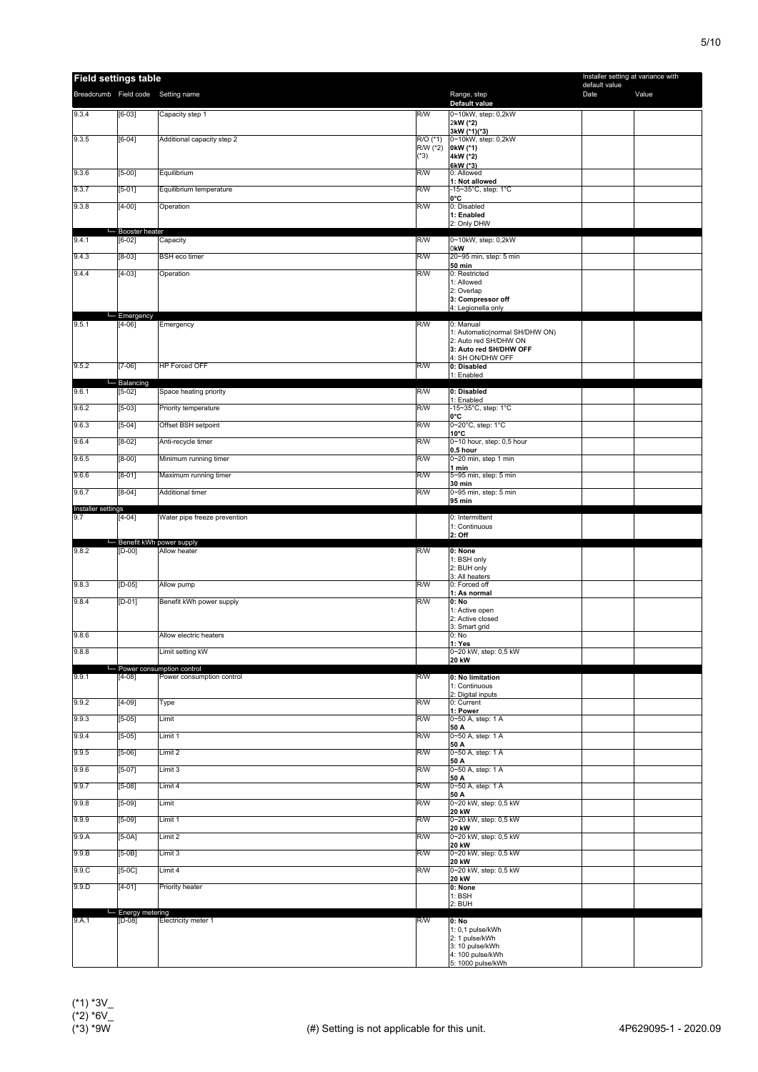| <b>Field settings table</b> |                               |                                    |                                  |                                                             | Installer setting at variance with<br>default value |       |
|-----------------------------|-------------------------------|------------------------------------|----------------------------------|-------------------------------------------------------------|-----------------------------------------------------|-------|
|                             |                               | Breadcrumb Field code Setting name |                                  | Range, step                                                 | Date                                                | Value |
| 9.3.4                       | $[6-03]$                      | Capacity step 1                    | R/W                              | Default value<br>0~10kW, step: 0,2kW<br>2kW (*2)            |                                                     |       |
| 9.3.5                       | $[6-04]$                      | Additional capacity step 2         | $R/O$ (*1)<br>R/W (*2)<br>$(*3)$ | 3kW (*1)(*3)<br>0~10kW, step: 0,2kW<br>0kW (*1)<br>4kW (*2) |                                                     |       |
| 9.3.6                       | $[5-00]$                      | Equilibrium                        | R/W                              | 6kW (*3)<br>0: Allowed                                      |                                                     |       |
| 9.3.7                       | $[5-01]$                      | Equilibrium temperature            | R/W                              | 1: Not allowed<br>-15~35°C, step: 1°C                       |                                                     |       |
| 9.3.8                       | $[4-00]$                      | Operation                          | R/W                              | 0°C<br>0: Disabled<br>1: Enabled                            |                                                     |       |
|                             | Booster heater                |                                    |                                  | 2: Only DHW                                                 |                                                     |       |
| 9.4.1                       | $[6-02]$                      | Capacity                           | R/W                              | 0~10kW, step: 0,2kW<br>0kW                                  |                                                     |       |
| 9.4.3                       | $[8-03]$                      | <b>BSH</b> eco timer               | R/W                              | 20~95 min, step: 5 min<br><b>50 min</b>                     |                                                     |       |
| 9.4.4                       | $[4-03]$                      | Operation                          | R/W                              | 0: Restricted<br>1: Allowed                                 |                                                     |       |
|                             |                               |                                    |                                  | 2: Overlap<br>3: Compressor off<br>4: Legionella only       |                                                     |       |
| 9.5.1                       | Emergency<br>$[4-06]$         | Emergency                          | R/W                              | 0: Manual                                                   |                                                     |       |
|                             |                               |                                    |                                  | 1: Automatic(normal SH/DHW ON)<br>2: Auto red SH/DHW ON     |                                                     |       |
|                             |                               |                                    |                                  | 3: Auto red SH/DHW OFF                                      |                                                     |       |
| 9.5.2                       | $[7-06]$                      | <b>HP Forced OFF</b>               | R/W                              | 4: SH ON/DHW OFF<br>0: Disabled                             |                                                     |       |
|                             | Balancing                     |                                    |                                  | 1: Enabled                                                  |                                                     |       |
| 9.6.1                       | $[5-02]$                      | Space heating priority             | R/W                              | 0: Disabled<br>1: Enabled                                   |                                                     |       |
| 9.6.2                       | $[5-03]$                      | Priority temperature               | R/W                              | -15~35°C, step: 1°C<br>0°C                                  |                                                     |       |
| 9.6.3                       | $[5-04]$                      | Offset BSH setpoint                | R/W                              | 0~20°C, step: 1°C<br>$10^{\circ}$ C                         |                                                     |       |
| 9.6.4                       | $[8-02]$                      | Anti-recycle timer                 | R/W                              | 0~10 hour, step: 0,5 hour<br>0,5 hour                       |                                                     |       |
| 9.6.5                       | $[8-00]$                      | Minimum running timer              | R/W                              | 0~20 min, step 1 min<br>1 min                               |                                                     |       |
| 9.6.6                       | $[8-01]$                      | Maximum running timer              | R/W                              | 5~95 min, step: 5 min                                       |                                                     |       |
| 9.6.7                       | $[8-04]$                      | <b>Additional timer</b>            | R/W                              | 30 min<br>0~95 min, step: 5 min<br>95 min                   |                                                     |       |
| Installer settings<br>9.7   | $[4-04]$                      | Water pipe freeze prevention       |                                  | 0: Intermittent                                             |                                                     |       |
|                             |                               | Benefit kWh power supply           |                                  | 1: Continuous<br>2: Off                                     |                                                     |       |
| 9.8.2                       | $[D-00]$                      | Allow heater                       | R/W                              | 0: None<br>1: BSH only<br>2: BUH only                       |                                                     |       |
| 9.8.3                       | $[D-05]$                      | Allow pump                         | R/W                              | 3: All heaters<br>0: Forced off                             |                                                     |       |
| 9.8.4                       | $[D-01]$                      | Benefit kWh power supply           | R/W                              | 1: As normal<br>0: No                                       |                                                     |       |
|                             |                               |                                    |                                  | 1: Active open<br>2: Active closed                          |                                                     |       |
| 9.8.6                       |                               | Allow electric heaters             |                                  | 3: Smart grid<br>0: No                                      |                                                     |       |
| 9.8.8                       |                               | Limit setting kW                   |                                  | 1: Yes<br>0~20 kW, step: 0,5 kW                             |                                                     |       |
|                             |                               | - Power consumption control        |                                  | <b>20 kW</b>                                                |                                                     |       |
| 9.9.1                       | $[4-08]$                      | Power consumption control          | R/W                              | 0: No limitation<br>1: Continuous                           |                                                     |       |
| 9.9.2                       | $[4-09]$                      | Type                               | R/W                              | 2: Digital inputs<br>0: Current                             |                                                     |       |
| 9.9.3                       | $[5-05]$                      | Limit                              | R/W                              | 1: Power<br>0~50 A, step: 1 A                               |                                                     |       |
| 9.9.4                       | $[5-05]$                      | Limit 1                            | R/W                              | 50 A<br>0~50 A, step: 1 A                                   |                                                     |       |
| 9.9.5                       | $[5-06]$                      | Limit 2                            | R/W                              | 50 A<br>0~50 A, step: 1 A                                   |                                                     |       |
| 9.9.6                       | $[5-07]$                      | Limit 3                            | R/W                              | 50 A<br>0~50 A, step: 1 A                                   |                                                     |       |
| 9.9.7                       | $[5-08]$                      | Limit 4                            | R/W                              | 50 A<br>0~50 A, step: 1 A                                   |                                                     |       |
| 9.9.8                       | $[5-09]$                      | Limit                              | R/W                              | 50 A<br>0~20 kW, step: 0,5 kW                               |                                                     |       |
| 9.9.9                       | $[5-09]$                      | Limit 1                            | R/W                              | <b>20 kW</b><br>0~20 kW, step: 0,5 kW                       |                                                     |       |
| 9.9.A                       | $[5-0A]$                      | Limit 2                            | R/W                              | 20 kW<br>0~20 kW, step: 0,5 kW                              |                                                     |       |
| 9.9.B                       | $[5-0B]$                      | Limit 3                            | R/W                              | 20 kW<br>0~20 kW, step: 0,5 kW                              |                                                     |       |
|                             |                               |                                    |                                  | <b>20 kW</b>                                                |                                                     |       |
| 9.9 <sub>C</sub>            | $[5-0C]$                      | Limit 4                            | R/W                              | 0~20 kW, step: 0,5 kW<br><b>20 kW</b>                       |                                                     |       |
| 9.9.D                       | $[4-01]$                      | Priority heater                    |                                  | 0: None<br>$1:$ BSH<br>2: BUH                               |                                                     |       |
| 9.A.1                       | - Energy metering<br>$[D-08]$ | Electricity meter 1                | R/W                              |                                                             |                                                     |       |
|                             |                               |                                    |                                  | 0: No<br>1: 0,1 pulse/kWh                                   |                                                     |       |
|                             |                               |                                    |                                  | 2: 1 pulse/kWh<br>3: 10 pulse/kWh                           |                                                     |       |
|                             |                               |                                    |                                  | 4: 100 pulse/kWh<br>5: 1000 pulse/kWh                       |                                                     |       |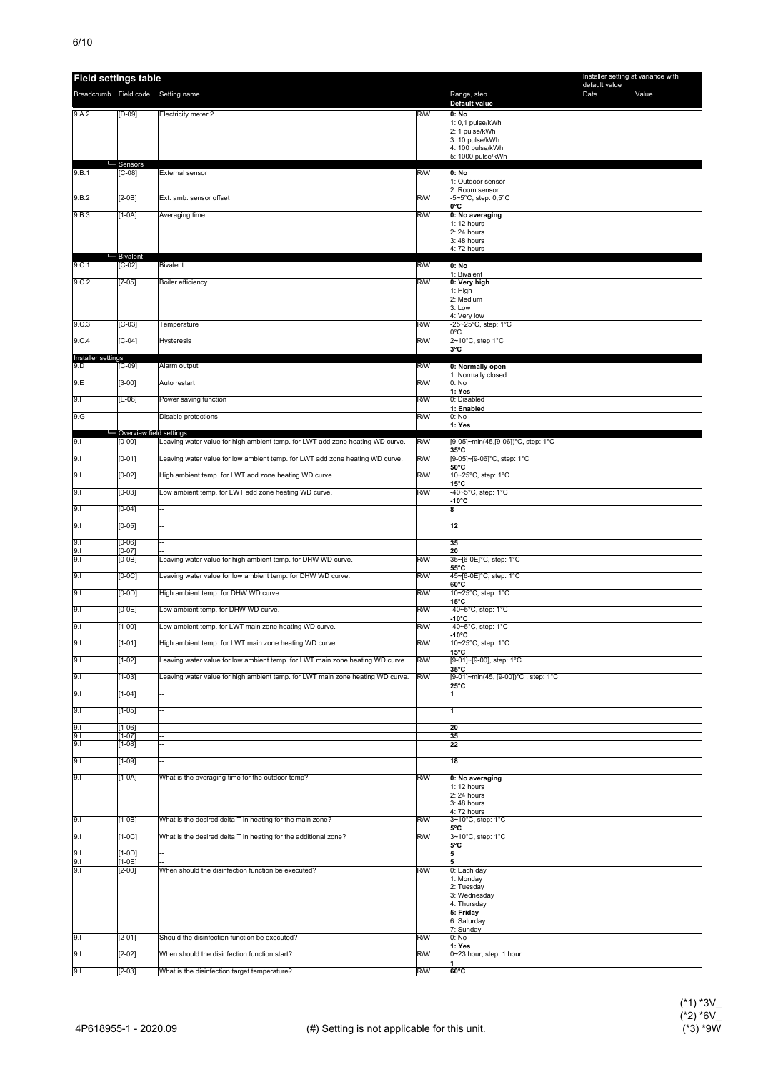| <b>Field settings table</b> |                           |                                                                                |     |                                                       | Installer setting at variance with<br>default value |       |
|-----------------------------|---------------------------|--------------------------------------------------------------------------------|-----|-------------------------------------------------------|-----------------------------------------------------|-------|
|                             |                           | Breadcrumb Field code Setting name                                             |     | Range, step                                           | Date                                                | Value |
| 9.A.2                       | $[D-09]$                  | Electricity meter 2                                                            | R/W | Default value<br>0: No                                |                                                     |       |
|                             |                           |                                                                                |     | 1: 0,1 pulse/kWh<br>2: 1 pulse/kWh                    |                                                     |       |
|                             |                           |                                                                                |     | 3: 10 pulse/kWh<br>4: 100 pulse/kWh                   |                                                     |       |
|                             | - Sensors                 |                                                                                |     | 5: 1000 pulse/kWh                                     |                                                     |       |
| 9.B.1                       | $[C-08]$                  | External sensor                                                                | R/W | 0: No<br>1: Outdoor sensor                            |                                                     |       |
| 9.B.2                       | $[2-0B]$                  | Ext. amb. sensor offset                                                        | R/W | 2: Room sensor<br>-5~5°C, step: 0,5°C                 |                                                     |       |
| 9.B.3                       | $[1-0A]$                  | Averaging time                                                                 | R/W | 0°C<br>0: No averaging                                |                                                     |       |
|                             |                           |                                                                                |     | 1: 12 hours<br>2: 24 hours                            |                                                     |       |
|                             |                           |                                                                                |     | 3: 48 hours                                           |                                                     |       |
|                             | Bivalent                  |                                                                                |     | 4: 72 hours                                           |                                                     |       |
| 9.C.1                       | $[C-02]$                  | <b>Bivalent</b>                                                                | R/W | 0: No<br>1: Bivalent                                  |                                                     |       |
| 9.C.2                       | $[7-05]$                  | Boiler efficiency                                                              | R/W | 0: Very high<br>$1:$ High                             |                                                     |       |
|                             |                           |                                                                                |     | 2: Medium<br>3: Low                                   |                                                     |       |
| 9.C.3                       | $[C-03]$                  | Temperature                                                                    | R/W | 4: Very low<br>-25~25°C, step: 1°C                    |                                                     |       |
| 9.C.4                       | $[C-04]$                  | Hysteresis                                                                     | R/W | $0^{\circ}$ C<br>2~10°C, step 1°C                     |                                                     |       |
| Installer settings          |                           |                                                                                |     | з°с                                                   |                                                     |       |
| 9.D                         | $[C-09]$                  | Alarm output                                                                   | R/W | 0: Normally open<br>1: Normally closed                |                                                     |       |
| 9.E                         | $[3-00]$                  | Auto restart                                                                   | R/W | 0: No<br>1: Yes                                       |                                                     |       |
| 9.F                         | $E-08$                    | Power saving function                                                          | R/W | 0: Disabled                                           |                                                     |       |
| 9.G                         |                           | Disable protections                                                            | R/W | 1: Enabled<br>0: No                                   |                                                     |       |
|                             | - Overview field settings |                                                                                |     | 1: Yes                                                |                                                     |       |
| 9.1                         | $[0 - 00]$                | Leaving water value for high ambient temp. for LWT add zone heating WD curve.  | R/W | [9-05]~min(45,[9-06])°C, step: 1°C<br>$35^{\circ}$ C  |                                                     |       |
| 9.1                         | $[0-01]$                  | Leaving water value for low ambient temp. for LWT add zone heating WD curve.   | R/W | [9-05]~[9-06]°C, step: 1°C<br>50°C                    |                                                     |       |
| 9.1                         | $[0-02]$                  | High ambient temp. for LWT add zone heating WD curve.                          | R/W | 10~25°C, step: 1°C<br>$15^{\circ}$ C                  |                                                     |       |
| 9.1                         | $[0-03]$                  | Low ambient temp. for LWT add zone heating WD curve.                           | R/W | -40~5°C, step: 1°C<br>-10°C                           |                                                     |       |
| 9.1                         | $[0 - 04]$                | $\overline{a}$                                                                 |     | 8                                                     |                                                     |       |
| 9.1                         | $[0 - 05]$                |                                                                                |     | 12                                                    |                                                     |       |
| 9.1<br>9.1                  | $[0 - 06]$<br>$[0-07]$    |                                                                                |     | 35<br>20                                              |                                                     |       |
| 9.1                         | $[0-0B]$                  | Leaving water value for high ambient temp. for DHW WD curve.                   | R/W | 35~[6-0E]°C, step: 1°C                                |                                                     |       |
| 9.1                         | $[0-0C]$                  | Leaving water value for low ambient temp. for DHW WD curve.                    | R/W | 55°C<br>45~[6-0E]°C, step: 1°C                        |                                                     |       |
| 9.1                         | $[0-0D]$                  | High ambient temp. for DHW WD curve.                                           | R/W | $60^{\circ}$ C<br>10~25°C, step: 1°C                  |                                                     |       |
| 9.1                         | $[0-0E]$                  | Low ambient temp. for DHW WD curve.                                            | R/W | $15^{\circ}$ C<br>-40~5°C, step: 1°C                  |                                                     |       |
| 9.1                         | $[1 - 00]$                | Low ambient temp. for LWT main zone heating WD curve.                          | R/W | $-10^{\circ}$ C<br>-40~5°C, step: 1°C                 |                                                     |       |
| 9.1                         | $[1 - 01]$                | High ambient temp. for LWT main zone heating WD curve.                         | R/W | -10°C<br>10~25°C, step: 1°C                           |                                                     |       |
| 9.1                         | $[1-02]$                  | Leaving water value for low ambient temp. for LWT main zone heating WD curve.  | R/W | $15^{\circ}$ C<br>[9-01]~[9-00], step: 1°C            |                                                     |       |
| 9.1                         | $[1 - 03]$                | Leaving water value for high ambient temp. for LWT main zone heating WD curve. | R/W | $35^{\circ}$ C<br>[9-01]~min(45, [9-00])°C, step: 1°C |                                                     |       |
| 9.1                         | $[1 - 04]$                |                                                                                |     | $25^{\circ}$ C<br>1                                   |                                                     |       |
|                             |                           |                                                                                |     |                                                       |                                                     |       |
| 9.1                         | $[1 - 05]$                |                                                                                |     | $\mathbf{1}$                                          |                                                     |       |
| 9.1<br>9.1                  | $[1-06]$<br>$[1 - 07]$    |                                                                                |     | 20<br>35                                              |                                                     |       |
| 9.1                         | $[1-08]$                  |                                                                                |     | 22                                                    |                                                     |       |
| 9.1                         | $[1 - 09]$                |                                                                                |     | 18                                                    |                                                     |       |
| 9.1                         | $[1-0A]$                  | What is the averaging time for the outdoor temp?                               | R/W | 0: No averaging<br>1: 12 hours                        |                                                     |       |
|                             |                           |                                                                                |     | 2: 24 hours<br>3:48 hours                             |                                                     |       |
| 9.1                         | $[1-0B]$                  | What is the desired delta T in heating for the main zone?                      | R/W | 4:72 hours<br>3~10°C, step: 1°C                       |                                                     |       |
| 9.1                         |                           |                                                                                | R/W | 5°C                                                   |                                                     |       |
|                             | $[1-0C]$                  | What is the desired delta T in heating for the additional zone?                |     | 3~10°C, step: 1°C<br>5°C                              |                                                     |       |
| 9.1<br>9.1                  | $[1-0D]$<br>$[1-0E]$      |                                                                                |     | 5<br>5                                                |                                                     |       |
| 9.1                         | $[2-00]$                  | When should the disinfection function be executed?                             | R/W | 0: Each day<br>1: Monday                              |                                                     |       |
|                             |                           |                                                                                |     | 2: Tuesday<br>3: Wednesday                            |                                                     |       |
|                             |                           |                                                                                |     | 4: Thursday<br>5: Friday                              |                                                     |       |
|                             |                           |                                                                                |     | 6: Saturday<br>7: Sunday                              |                                                     |       |
| 9.1                         | $[2 - 01]$                | Should the disinfection function be executed?                                  | R/W | 0: No                                                 |                                                     |       |
| 9.1                         | $[2-02]$                  | When should the disinfection function start?                                   | R/W | 1: Yes<br>0~23 hour, step: 1 hour                     |                                                     |       |
| 9.1                         | $[2 - 03]$                | What is the disinfection target temperature?                                   | R/W | $60^{\circ}$ C                                        |                                                     |       |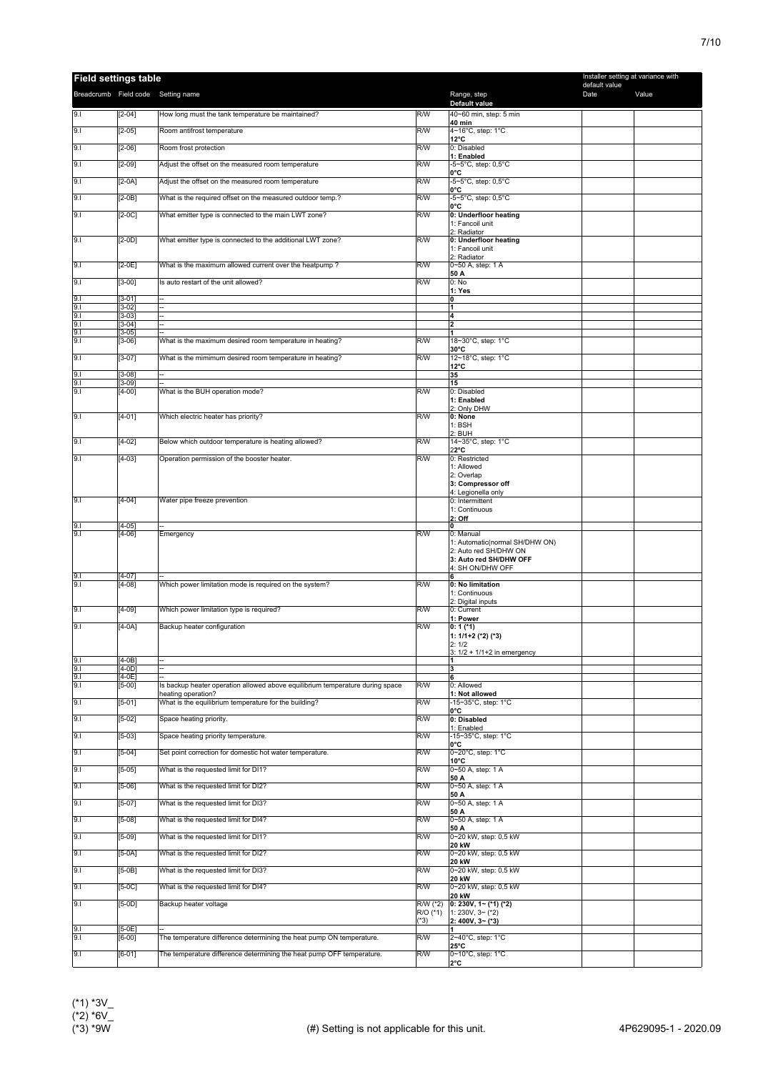| <b>Field settings table</b>        |                        |                                                                               |                      |                                                 | Installer setting at variance with |       |
|------------------------------------|------------------------|-------------------------------------------------------------------------------|----------------------|-------------------------------------------------|------------------------------------|-------|
| Breadcrumb Field code Setting name |                        |                                                                               |                      | Range, step                                     | default value<br>Date              | Value |
| 9.1                                | $[2-04]$               | How long must the tank temperature be maintained?                             | R/W                  | Default value<br>40~60 min, step: 5 min         |                                    |       |
|                                    |                        |                                                                               |                      | <b>40 min</b>                                   |                                    |       |
| 9.1                                | $[2-05]$               | Room antifrost temperature                                                    | R/W                  | 4~16°C, step: 1°C<br>$12^{\circ}$ C             |                                    |       |
| 9.1                                | $[2-06]$               | Room frost protection                                                         | R/W                  | 0: Disabled<br>1: Enabled                       |                                    |       |
| 9.1                                | $[2-09]$               | Adjust the offset on the measured room temperature                            | R/W                  | -5~5°C, step: 0,5°C<br>l0°C                     |                                    |       |
| 9.1                                | $[2-0A]$               | Adjust the offset on the measured room temperature                            | R/W                  | -5~5°C, step: 0,5°C<br>0°C                      |                                    |       |
| 9.1                                | $[2-0B]$               | What is the required offset on the measured outdoor temp.?                    | R/W                  | -5~5°C, step: 0,5°C<br>0°C                      |                                    |       |
| 9.1                                | $[2-0C]$               | What emitter type is connected to the main LWT zone?                          | R/W                  | 0: Underfloor heating                           |                                    |       |
|                                    |                        |                                                                               |                      | 1: Fancoil unit<br>2: Radiator                  |                                    |       |
| 9.1                                | $[2-0D]$               | What emitter type is connected to the additional LWT zone?                    | R/W                  | 0: Underfloor heating<br>1: Fancoil unit        |                                    |       |
| 9.1                                | $[2-0E]$               | What is the maximum allowed current over the heatpump?                        | R/W                  | 2: Radiator<br>0~50 A, step: 1 A                |                                    |       |
| 9.1                                | $[3-00]$               | Is auto restart of the unit allowed?                                          | R/W                  | 50 A<br>0: No                                   |                                    |       |
|                                    | $[3-01]$               |                                                                               |                      | 1: Yes<br>١o                                    |                                    |       |
| $\frac{9.1}{9.1}$                  | $[3-02]$               |                                                                               |                      | $\mathbf{1}$                                    |                                    |       |
| 9.1<br>9.1                         | $[3-03]$<br>$[3-04]$   |                                                                               |                      | 4<br>12                                         |                                    |       |
| 9.1<br>9.1                         | $[3 - 05]$<br>$[3-06]$ | What is the maximum desired room temperature in heating?                      | R/W                  | 18~30°C, step: 1°C                              |                                    |       |
| 9.1                                | $[3-07]$               | What is the mimimum desired room temperature in heating?                      | R/W                  | $30^{\circ}$ C<br>12~18°C, step: 1°C            |                                    |       |
| 9.1                                | $[3-08]$               | $\overline{a}$                                                                |                      | $12^{\circ}$ C<br>35                            |                                    |       |
| $\frac{9.1}{9.1}$                  | $[3-09]$<br>$[4-00]$   | What is the BUH operation mode?                                               | R/W                  | 15<br>0: Disabled                               |                                    |       |
|                                    |                        |                                                                               |                      | 1: Enabled                                      |                                    |       |
| 9.1                                | $[4-01]$               | Which electric heater has priority?                                           | R/W                  | 2: Only DHW<br>0: None                          |                                    |       |
|                                    |                        |                                                                               |                      | $1:$ BSH<br>2: BUH                              |                                    |       |
| 9.1                                | $[4-02]$               | Below which outdoor temperature is heating allowed?                           | R/W                  | 14~35°C, step: 1°C<br>$22^{\circ}$ C            |                                    |       |
| 9.1                                | $[4-03]$               | Operation permission of the booster heater.                                   | R/W                  | 0: Restricted<br>1: Allowed                     |                                    |       |
|                                    |                        |                                                                               |                      | 2: Overlap                                      |                                    |       |
|                                    |                        |                                                                               |                      | 3: Compressor off<br>4: Legionella only         |                                    |       |
| 9.1                                | $[4 - 04]$             | Water pipe freeze prevention                                                  |                      | 0: Intermittent<br>1: Continuous                |                                    |       |
| 9.1                                | $[4-05]$               |                                                                               |                      | $2:$ Off<br>'n                                  |                                    |       |
| 9.1                                | $[4-06]$               | Emergency                                                                     | R/W                  | 0: Manual<br>1: Automatic(normal SH/DHW ON)     |                                    |       |
|                                    |                        |                                                                               |                      | 2: Auto red SH/DHW ON<br>3: Auto red SH/DHW OFF |                                    |       |
| 9.1                                | $[4-07]$               |                                                                               |                      | 4: SH ON/DHW OFF<br>6                           |                                    |       |
| 9.1                                | $[4-08]$               | Which power limitation mode is required on the system?                        | R/W                  | 0: No limitation                                |                                    |       |
|                                    |                        |                                                                               |                      | 1: Continuous<br>2: Digital inputs              |                                    |       |
| 9.1                                | $[4-09]$               | Which power limitation type is required?                                      | R/W                  | 0: Current<br>1: Power                          |                                    |       |
| 9.1                                | $[4-0A]$               | Backup heater configuration                                                   | R/W                  | $0:1$ (*1)<br>1: 1/1+2 (*2) (*3)                |                                    |       |
|                                    |                        |                                                                               |                      | 2:1/2<br>3: $1/2$ + $1/1+2$ in emergency        |                                    |       |
| 9.1<br>9.1                         | $[4-0B]$<br>$[4-0D]$   |                                                                               |                      | 11<br>3                                         |                                    |       |
| $\frac{9.1}{9.1}$                  | $[4-0E]$<br>$[5-00]$   | Is backup heater operation allowed above equilibrium temperature during space | R/W                  | 6<br>0: Allowed                                 |                                    |       |
|                                    |                        | heating operation?                                                            |                      | 1: Not allowed                                  |                                    |       |
| 9.1                                | $[5-01]$               | What is the equilibrium temperature for the building?                         | R/W                  | -15~35°C, step: 1°C<br>0°C                      |                                    |       |
| 9.1                                | $[5-02]$               | Space heating priority.                                                       | R/W                  | 0: Disabled<br>1: Enabled                       |                                    |       |
| 9.1                                | $[5-03]$               | Space heating priority temperature.                                           | R/W                  | -15~35°C, step: 1°C<br>0°C                      |                                    |       |
| 9.1                                | $[5-04]$               | Set point correction for domestic hot water temperature.                      | R/W                  | 0~20°C, step: 1°C<br>$10^{\circ}$ C             |                                    |       |
| 9.1                                | $[5-05]$               | What is the requested limit for DI1?                                          | R/W                  | 0~50 A, step: 1 A<br>50 A                       |                                    |       |
| 9.1                                | $[5-06]$               | What is the requested limit for DI2?                                          | R/W                  | 0~50 A, step: 1 A<br>50 A                       |                                    |       |
| 9.1                                | $[5-07]$               | What is the requested limit for DI3?                                          | R/W                  | 0~50 A, step: 1 A                               |                                    |       |
| 9.1                                | $[5-08]$               | What is the requested limit for DI4?                                          | R/W                  | 50 A<br>0~50 A, step: 1 A                       |                                    |       |
| 9.1                                | $[5-09]$               | What is the requested limit for DI1?                                          | R/W                  | 50 A<br>0~20 kW, step: 0,5 kW                   |                                    |       |
| 9.1                                | $[5-0A]$               | What is the requested limit for DI2?                                          | R/W                  | <b>20 kW</b><br>0~20 kW, step: 0,5 kW           |                                    |       |
| 9.1                                | $[5-0B]$               | What is the requested limit for DI3?                                          | R/W                  | 20 kW<br>0~20 kW, step: 0,5 kW                  |                                    |       |
| 9.1                                | $[5-0C]$               | What is the requested limit for DI4?                                          | R/W                  | 20 kW<br>0~20 kW, step: 0,5 kW                  |                                    |       |
|                                    |                        |                                                                               |                      | <b>20 kW</b>                                    |                                    |       |
| 9.1                                | $[5-0D]$               | Backup heater voltage                                                         | R/W (*2)<br>R/O (*1) | 0: 230V, $1 -$ (*1) (*2)<br>1: 230V, $3-(2)$    |                                    |       |
| 9.1                                | $[5-0E]$               |                                                                               | $(*3)$               | $2:400V, 3~(*3)$                                |                                    |       |
| 9.1                                | $[6-00]$               | The temperature difference determining the heat pump ON temperature.          | R/W                  | 2~40°C, step: 1°C<br>25°C                       |                                    |       |
| 9.1                                | $[6-01]$               | The temperature difference determining the heat pump OFF temperature.         | R/W                  | 0~10°C, step: 1°C<br>2°C                        |                                    |       |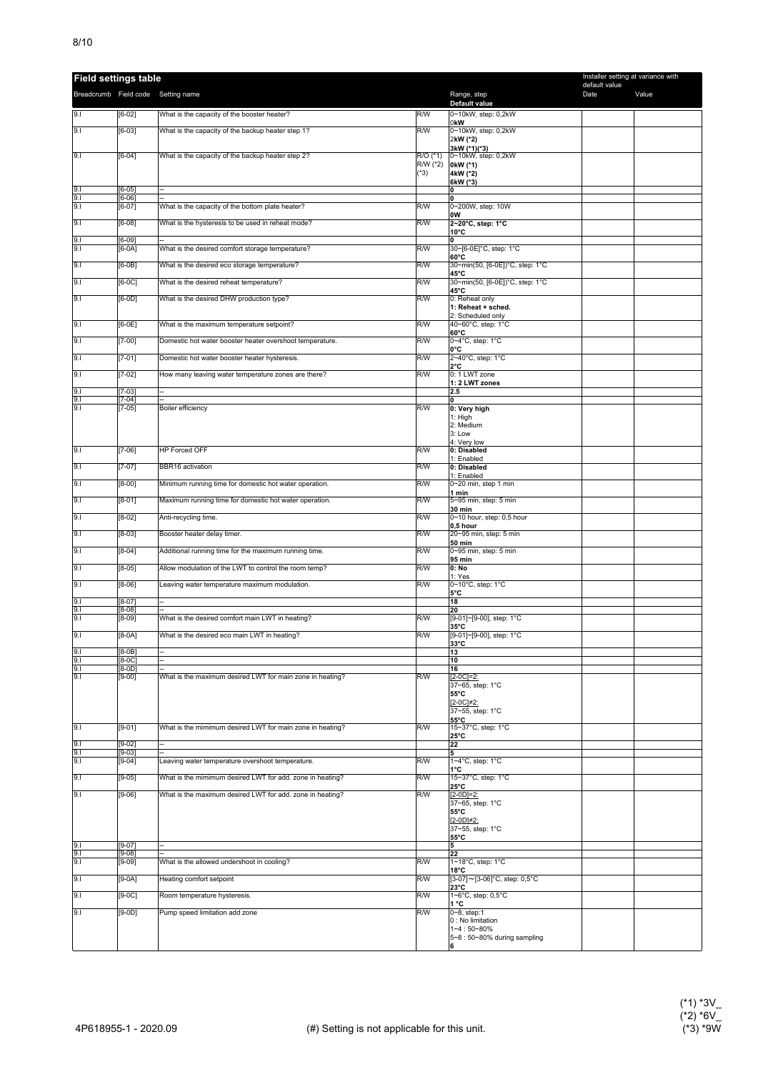| <b>Field settings table</b>        |                      |                                                           |                      |                                            | Installer setting at variance with |       |
|------------------------------------|----------------------|-----------------------------------------------------------|----------------------|--------------------------------------------|------------------------------------|-------|
| Breadcrumb Field code Setting name |                      |                                                           |                      | Range, step                                | default value<br>Date              | Value |
| 9.1                                | $[6-02]$             | What is the capacity of the booster heater?               | R/W                  | Default value<br>0~10kW, step: 0,2kW       |                                    |       |
| 9.1                                | $[6-03]$             | What is the capacity of the backup heater step 1?         | R/W                  | 0kW<br>0~10kW, step: 0,2kW                 |                                    |       |
|                                    |                      |                                                           |                      | 2kW (*2)<br>3kW (*1)(*3)                   |                                    |       |
| 9.1                                | $[6-04]$             | What is the capacity of the backup heater step 2?         | R/O (*1)<br>R/W (*2) | 0~10kW, step: 0,2kW<br>0kW (*1)            |                                    |       |
|                                    |                      |                                                           | $(*3)$               | 4kW (*2)                                   |                                    |       |
| 9.1                                | $[6 - 05]$           |                                                           |                      | 6kW (*3)<br>0                              |                                    |       |
| 9.1<br>9.1                         | $[6-06]$<br>$[6-07]$ | What is the capacity of the bottom plate heater?          | R/W                  | 0<br>0~200W, step: 10W                     |                                    |       |
| 9.1                                | $[6-08]$             | What is the hysteresis to be used in reheat mode?         | R/W                  | 0W<br>2~20°C, step: 1°C                    |                                    |       |
| 9.1                                | $[6-09]$             |                                                           | R/W                  | 10°C<br>0<br>30~[6-0E]°C, step: 1°C        |                                    |       |
| 9.1                                | [6-0A]               | What is the desired comfort storage temperature?          | R/W                  | $60^{\circ}$ C                             |                                    |       |
| 9.1                                | $[6-0B]$             | What is the desired eco storage temperature?              |                      | 30~min(50, [6-0E])°C, step: 1°C<br>45°C    |                                    |       |
| 9.1                                | $[6-0C]$             | What is the desired reheat temperature?                   | R/W                  | 30~min(50, [6-0E])°C, step: 1°C<br>45°C    |                                    |       |
| 9.1                                | $[6-0D]$             | What is the desired DHW production type?                  | R/W                  | 0: Reheat only<br>1: Reheat + sched.       |                                    |       |
| 9.1                                | $[6-0E]$             | What is the maximum temperature setpoint?                 | R/W                  | 2: Scheduled only<br>40~60°C, step: 1°C    |                                    |       |
| 9.1                                | $[7-00]$             | Domestic hot water booster heater overshoot temperature.  | R/W                  | $60^{\circ}$ C<br>0~4°C, step: 1°C         |                                    |       |
| 9.1                                | $[7-01]$             | Domestic hot water booster heater hysteresis.             | R/W                  | 0°C<br>2~40°C, step: 1°C                   |                                    |       |
| 9.1                                | $[7-02]$             | How many leaving water temperature zones are there?       | R/W                  | 2°C<br>0: 1 LWT zone                       |                                    |       |
| 9.1                                | $[7-03]$             | $\overline{a}$                                            |                      | 1: 2 LWT zones<br>2.5                      |                                    |       |
| 9.1<br>9.1                         | $7-04]$<br>$[7-05]$  | Boiler efficiency                                         | R/W                  | 0<br>0: Very high                          |                                    |       |
|                                    |                      |                                                           |                      | 1: High                                    |                                    |       |
|                                    |                      |                                                           |                      | 2: Medium<br>3: Low                        |                                    |       |
| 9.1                                | $[7-06]$             | <b>HP Forced OFF</b>                                      | R/W                  | 4: Very low<br>0: Disabled                 |                                    |       |
| 9.1                                | $[7-07]$             | BBR16 activation                                          | R/W                  | 1: Enabled<br>0: Disabled                  |                                    |       |
| 9.1                                | $[8-00]$             | Minimum running time for domestic hot water operation.    | R/W                  | 1: Enabled<br>0~20 min, step 1 min         |                                    |       |
| 9.1                                | $[8-01]$             | Maximum running time for domestic hot water operation.    | R/W                  | 1 min<br>5~95 min, step: 5 min             |                                    |       |
| 9.1                                | $[8-02]$             | Anti-recycling time.                                      | R/W                  | 30 min<br>0~10 hour, step: 0,5 hour        |                                    |       |
| 9.1                                | $[8-03]$             | Booster heater delay timer.                               | R/W                  | 0,5 hour<br>20~95 min, step: 5 min         |                                    |       |
| 9.1                                | $[8-04]$             | Additional running time for the maximum running time.     | R/W                  | <b>50 min</b><br>0~95 min, step: 5 min     |                                    |       |
| 9.1                                | $[8-05]$             | Allow modulation of the LWT to control the room temp?     | R/W                  | 95 min<br>0: No                            |                                    |       |
| 9.1                                | $[8-06]$             | Leaving water temperature maximum modulation.             | R/W                  | 1: Yes<br>0~10°C, step: 1°C                |                                    |       |
| 9.1                                | $[8-07]$             | $\overline{a}$                                            |                      | 5°C<br>18                                  |                                    |       |
| 9.1                                | $[8-08]$             |                                                           |                      | 20                                         |                                    |       |
| 9.1                                | [8-09]               | What is the desired comfort main LWT in heating?          | R/W                  | [9-01]~[9-00], step: 1°C<br>$35^{\circ}$ C |                                    |       |
| 9.1                                | $[8-0A]$             | What is the desired eco main LWT in heating?              | R/W                  | [9-01]~[9-00], step: 1°C<br>33°C           |                                    |       |
| 9.1<br>9.1                         | $[8-0B]$<br>$[8-0C]$ |                                                           |                      | 13<br>10                                   |                                    |       |
| 9.1<br>9.1                         | [8-0D]<br>$[9-00]$   | What is the maximum desired LWT for main zone in heating? | R/W                  | 16<br>$[2-0C]=2$ :                         |                                    |       |
|                                    |                      |                                                           |                      | 37~65, step: 1°C<br>55°C                   |                                    |       |
|                                    |                      |                                                           |                      | $[2-0C]\neq2$ :<br>37~55, step: 1°C        |                                    |       |
| 9.1                                | $[9-01]$             | What is the mimimum desired LWT for main zone in heating? | R/W                  | 55°C<br>15~37°C, step: 1°C                 |                                    |       |
| 9.1                                | $[9-02]$             | Ξ.                                                        |                      | $25^{\circ}$ C<br>22                       |                                    |       |
| 9.1<br>9.1                         | $[9-03]$<br>$[9-04]$ | ÷<br>Leaving water temperature overshoot temperature.     | R/W                  | 5<br>1~4°C, step: 1°C                      |                                    |       |
| 9.1                                | $[9-05]$             | What is the mimimum desired LWT for add. zone in heating? | R/W                  | 1°C<br>15~37°C, step: 1°C                  |                                    |       |
| 9.1                                | $[9-06]$             | What is the maximum desired LWT for add. zone in heating? | R/W                  | $25^{\circ}$ C<br>$[2-0D]=2:$              |                                    |       |
|                                    |                      |                                                           |                      | 37~65, step: 1°C<br>55°C                   |                                    |       |
|                                    |                      |                                                           |                      | $[2-0D]\neq 2$ :                           |                                    |       |
|                                    |                      |                                                           |                      | 37~55, step: 1°C<br>$55^{\circ}$ C         |                                    |       |
| 9.1<br>9.1                         | $[9-07]$<br>$[9-08]$ |                                                           |                      | 5<br>22                                    |                                    |       |
| 9.1                                | $[9-09]$             | What is the allowed undershoot in cooling?                | R/W                  | 1~18°C, step: 1°C<br>18°C                  |                                    |       |
| 9.1                                | $[9-0A]$             | Heating comfort setpoint                                  | R/W                  | [3-07]~[3-06]°C, step: 0,5°C<br>23°C       |                                    |       |
| 9.1                                | $[9-0C]$             | Room temperature hysteresis.                              | R/W                  | 1~6°C, step: 0,5°C<br>1 °C                 |                                    |       |
| 9.1                                | $[9-0D]$             | Pump speed limitation add zone                            | R/W                  | 0~8, step:1<br>0 : No limitation           |                                    |       |
|                                    |                      |                                                           |                      | 1~4:50~80%<br>5~8 : 50~80% during sampling |                                    |       |
|                                    |                      |                                                           |                      |                                            |                                    |       |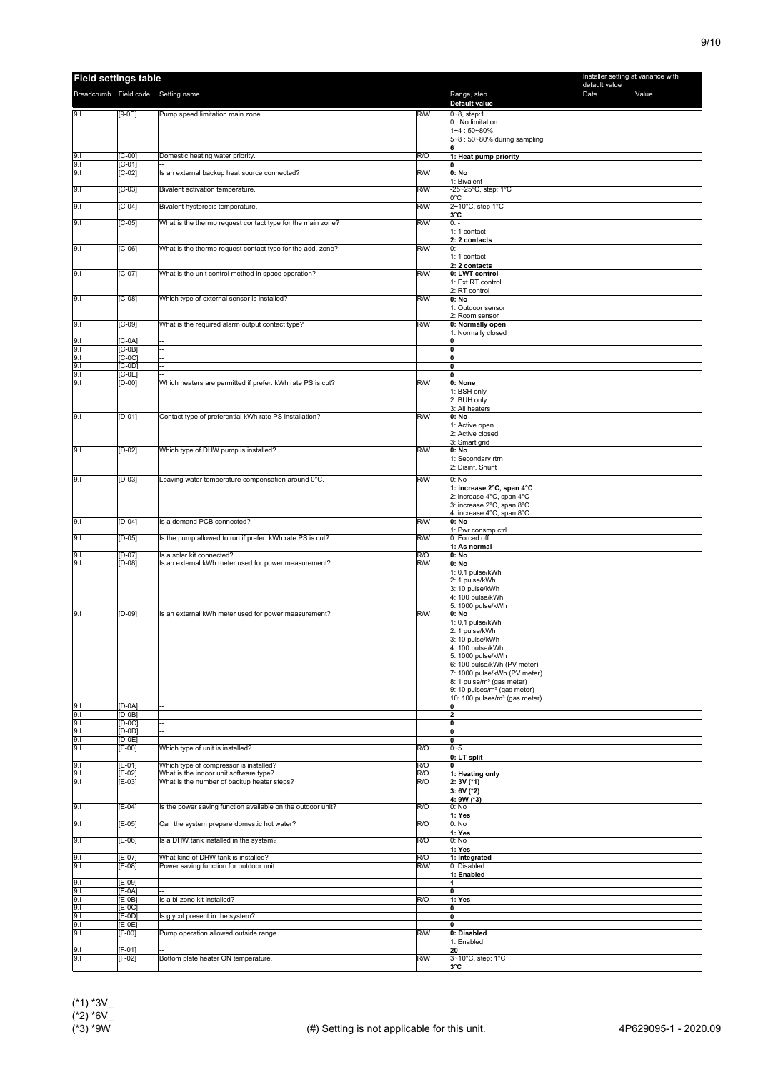| <b>Field settings table</b>        |                                 |                                                                                   |            |                                                                                      | Installer setting at variance with |       |
|------------------------------------|---------------------------------|-----------------------------------------------------------------------------------|------------|--------------------------------------------------------------------------------------|------------------------------------|-------|
| Breadcrumb Field code Setting name |                                 |                                                                                   |            | Range, step                                                                          | default value<br>Date              | Value |
|                                    |                                 |                                                                                   | R/W        | Default value                                                                        |                                    |       |
| 9.1                                | $[9-0E]$                        | Pump speed limitation main zone                                                   |            | 0~8, step:1<br>0 : No limitation                                                     |                                    |       |
|                                    |                                 |                                                                                   |            | $1 - 4:50 - 80%$<br>5~8 : 50~80% during sampling                                     |                                    |       |
|                                    |                                 |                                                                                   |            | Ιᠷ                                                                                   |                                    |       |
| $\frac{9.1}{9.1}$                  | $[C-00]$<br>$[C-01]$            | Domestic heating water priority.                                                  | R/O        | 1: Heat pump priority<br>١o                                                          |                                    |       |
|                                    | $[C-02]$                        | Is an external backup heat source connected?                                      | R/W        | 0: No                                                                                |                                    |       |
| 9.1                                | $[C-03]$                        | Bivalent activation temperature.                                                  | R/W        | 1: Bivalent<br>-25~25°C, step: 1°C                                                   |                                    |       |
| 9.1                                | $[C-04]$                        | Bivalent hysteresis temperature.                                                  | R/W        | l0°C<br>2~10°C, step 1°C                                                             |                                    |       |
|                                    |                                 |                                                                                   |            | 3°C                                                                                  |                                    |       |
| 9.1                                | $[C-05]$                        | What is the thermo request contact type for the main zone?                        | R/W        | $0: -$<br>1: 1 contact                                                               |                                    |       |
|                                    |                                 |                                                                                   |            | 2: 2 contacts                                                                        |                                    |       |
| 9.1                                | $[C-06]$                        | What is the thermo request contact type for the add. zone?                        | R/W        | $0: -$<br>1: 1 contact                                                               |                                    |       |
| 9.1                                | $[C-07]$                        | What is the unit control method in space operation?                               | R/W        | 2: 2 contacts<br>0: LWT control                                                      |                                    |       |
|                                    |                                 |                                                                                   |            | 1: Ext RT control                                                                    |                                    |       |
| 9.1                                | $[C-08]$                        | Which type of external sensor is installed?                                       | R/W        | 2: RT control<br>0: No                                                               |                                    |       |
|                                    |                                 |                                                                                   |            | 1: Outdoor sensor                                                                    |                                    |       |
| 9.1                                | $[C-09]$                        | What is the required alarm output contact type?                                   | R/W        | 2: Room sensor<br>0: Normally open                                                   |                                    |       |
| 9.1                                | $[C-0A]$                        |                                                                                   |            | 1: Normally closed<br>0                                                              |                                    |       |
| 9.1                                | $[C-0B]$                        |                                                                                   |            | 10                                                                                   |                                    |       |
| 9.1<br>9.1                         | $[C-0C]$<br>$[C-0D]$            | <br>$\overline{a}$                                                                |            | ١o<br>I٥                                                                             |                                    |       |
| 9.1                                | $[C-0E]$                        |                                                                                   |            | ١o                                                                                   |                                    |       |
| 9.1                                | $[D-00]$                        | Which heaters are permitted if prefer. kWh rate PS is cut?                        | R/W        | 0: None<br>1: BSH only                                                               |                                    |       |
|                                    |                                 |                                                                                   |            | 2: BUH only                                                                          |                                    |       |
| 9.1                                | $[D-01]$                        | Contact type of preferential kWh rate PS installation?                            | R/W        | 3: All heaters<br>0: No                                                              |                                    |       |
|                                    |                                 |                                                                                   |            | 1: Active open                                                                       |                                    |       |
|                                    |                                 |                                                                                   |            | 2: Active closed<br>3: Smart grid                                                    |                                    |       |
| 9.1                                | $[D-02]$                        | Which type of DHW pump is installed?                                              | R/W        | 0: No<br>1: Secondary rtrn                                                           |                                    |       |
|                                    |                                 |                                                                                   |            | 2: Disinf. Shunt                                                                     |                                    |       |
| 9.1                                | $[D-03]$                        | Leaving water temperature compensation around 0°C.                                | R/W        | 0: No                                                                                |                                    |       |
|                                    |                                 |                                                                                   |            | 1: increase 2°C, span 4°C<br>2: increase 4°C, span 4°C                               |                                    |       |
|                                    |                                 |                                                                                   |            | 3: increase 2°C, span 8°C<br>4: increase 4°C, span 8°C                               |                                    |       |
| 9.1                                | $[D-04]$                        | Is a demand PCB connected?                                                        | R/W        | 0: No                                                                                |                                    |       |
| 9.1                                | $[D-05]$                        | Is the pump allowed to run if prefer. kWh rate PS is cut?                         | R/W        | 1: Pwr consmp ctrl<br>0: Forced off                                                  |                                    |       |
|                                    |                                 |                                                                                   |            | 1: As normal                                                                         |                                    |       |
| 9.1<br>9.1                         | $[D-07]$<br>$[D-08]$            | Is a solar kit connected?<br>Is an external kWh meter used for power measurement? | R/O<br>R/W | 0: No<br>$0:$ No                                                                     |                                    |       |
|                                    |                                 |                                                                                   |            | 1: 0,1 pulse/kWh<br>2: 1 pulse/kWh                                                   |                                    |       |
|                                    |                                 |                                                                                   |            | 3: 10 pulse/kWh                                                                      |                                    |       |
|                                    |                                 |                                                                                   |            | 4: 100 pulse/kWh<br>5: 1000 pulse/kWh                                                |                                    |       |
| 9.1                                | $[D-09]$                        | Is an external kWh meter used for power measurement?                              | R/W        | 0: No<br>1: 0.1 pulse/kWh                                                            |                                    |       |
|                                    |                                 |                                                                                   |            | 2: 1 pulse/kWh                                                                       |                                    |       |
|                                    |                                 |                                                                                   |            | 3: 10 pulse/kWh<br>4: 100 pulse/kWh                                                  |                                    |       |
|                                    |                                 |                                                                                   |            | 5: 1000 pulse/kWh                                                                    |                                    |       |
|                                    |                                 |                                                                                   |            | 6: 100 pulse/kWh (PV meter)<br>7: 1000 pulse/kWh (PV meter)                          |                                    |       |
|                                    |                                 |                                                                                   |            | 8: 1 pulse/m <sup>3</sup> (gas meter)                                                |                                    |       |
|                                    |                                 |                                                                                   |            | 9: 10 pulses/m <sup>3</sup> (gas meter)<br>10: 100 pulses/m <sup>3</sup> (gas meter) |                                    |       |
| 9.1                                | $[D-0A]$<br>$[D-OB]$            | Ξ.                                                                                |            | ١o<br>12                                                                             |                                    |       |
| $\frac{9.1}{9.1}$                  | $[D-0C]$                        | --                                                                                |            | ١o                                                                                   |                                    |       |
| $\frac{9.1}{9.1}$                  | $[D-OD]$<br>$\overline{[D-OE]}$ |                                                                                   |            | 10<br>١o                                                                             |                                    |       |
| 9.1                                | $E-00$                          | Which type of unit is installed?                                                  | R/O        | $0 - 5$                                                                              |                                    |       |
| 9.1                                | $E-01$                          | Which type of compressor is installed?                                            | R/O        | 0: LT split<br>10                                                                    |                                    |       |
| 9.1                                | [E-02]                          | What is the indoor unit software type?                                            | R/O        | 1: Heating only                                                                      |                                    |       |
| 9.1                                | $[E-03]$                        | What is the number of backup heater steps?                                        | R/O        | $2:3V$ (*1)<br>$3:6V$ (*2)                                                           |                                    |       |
| 9.1                                | $E-04$                          | Is the power saving function available on the outdoor unit?                       | R/O        | 4: 9W (*3)<br>0: No                                                                  |                                    |       |
|                                    |                                 |                                                                                   |            | 1: Yes                                                                               |                                    |       |
| 9.1                                | $[E-05]$                        | Can the system prepare domestic hot water?                                        | R/O        | 0: No<br>1: Yes                                                                      |                                    |       |
| 9.1                                | $[E-06]$                        | Is a DHW tank installed in the system?                                            | R/O        | 0: No                                                                                |                                    |       |
| 9.1                                | [E-07]                          | What kind of DHW tank is installed?                                               | R/O        | 1: Yes<br>1: Integrated                                                              |                                    |       |
| 9.1                                | $[E-08]$                        | Power saving function for outdoor unit.                                           | R/W        | 0: Disabled<br>1: Enabled                                                            |                                    |       |
| 9.1                                | $E-09$                          |                                                                                   |            | 1                                                                                    |                                    |       |
| 9.1                                | $[E-0A]$<br>[E-0B]              | Is a bi-zone kit installed?                                                       | R/O        | 0<br>1: Yes                                                                          |                                    |       |
| $\frac{9.1}{9.1}$                  | $[E-0C]$                        |                                                                                   |            | 0                                                                                    |                                    |       |
| 9.1<br>9.1                         | $E-0D$<br>$[E-0E]$              | Is glycol present in the system?                                                  |            | ١o<br>١o                                                                             |                                    |       |
| 9.1                                | $[F-00]$                        | Pump operation allowed outside range.                                             | R/W        | 0: Disabled<br>1: Enabled                                                            |                                    |       |
| 9.1                                | [F-01]                          |                                                                                   |            | 20                                                                                   |                                    |       |
| 9.1                                | $[F-02]$                        | Bottom plate heater ON temperature.                                               | R/W        | 3~10°C, step: 1°C<br>з°с                                                             |                                    |       |
|                                    |                                 |                                                                                   |            |                                                                                      |                                    |       |